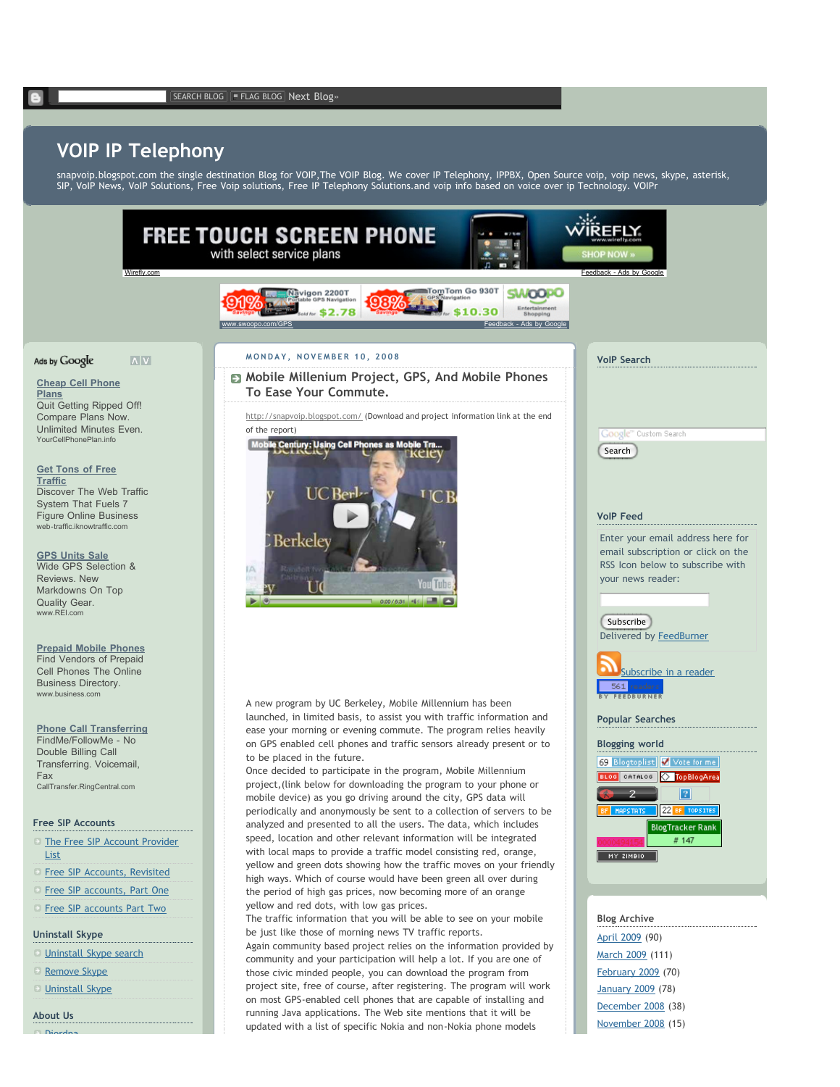## **VOIP IP Telephony**

snapvoip.blogspot.com the single destination Blog for VOIP,The VOIP Blog. We cover IP Telephony, IPPBX, Open Source voip, voip news, skype, asterisk, SIP, VoIP News, VoIP Solutions, Free Voip solutions, Free IP Telephony Solutions.and voip info based on voice over ip Technology. VOIPr



December 2008 (38) November 2008 (15)

**About Us** Diordna

List

Fax

running Java applications. The Web site mentions that it will be updated with a list of specific Nokia and non-Nokia phone models

**Plans**

**Traffic**

www.REI.com